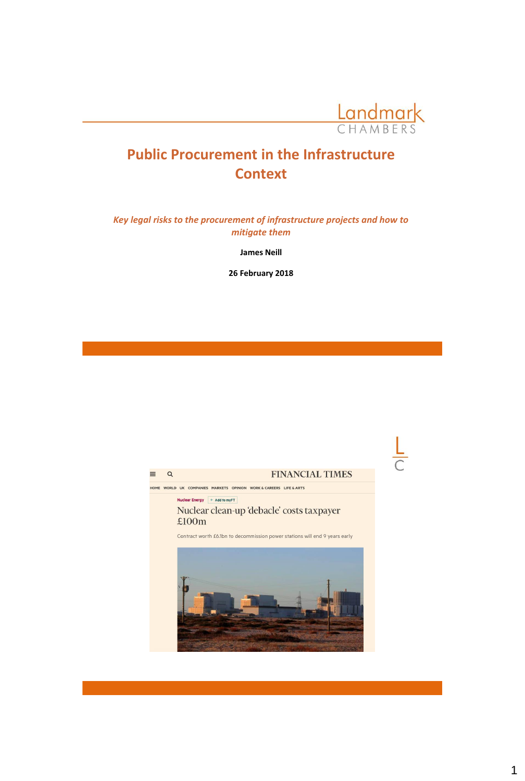

# **Public Procurement in the Infrastructure Context**

*Key legal risks to the procurement of infrastructure projects and how to mitigate them*

**James Neill**

**26 February 2018**

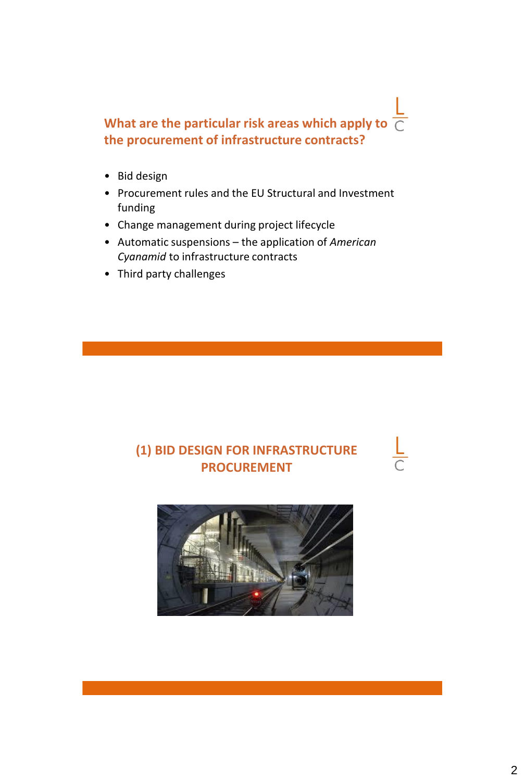What are the particular risk areas which apply to  $\overline{\overline{C}}$ **the procurement of infrastructure contracts?**

- Bid design
- Procurement rules and the EU Structural and Investment funding
- Change management during project lifecycle
- Automatic suspensions the application of *American Cyanamid* to infrastructure contracts
- Third party challenges

## **(1) BID DESIGN FOR INFRASTRUCTURE PROCUREMENT**

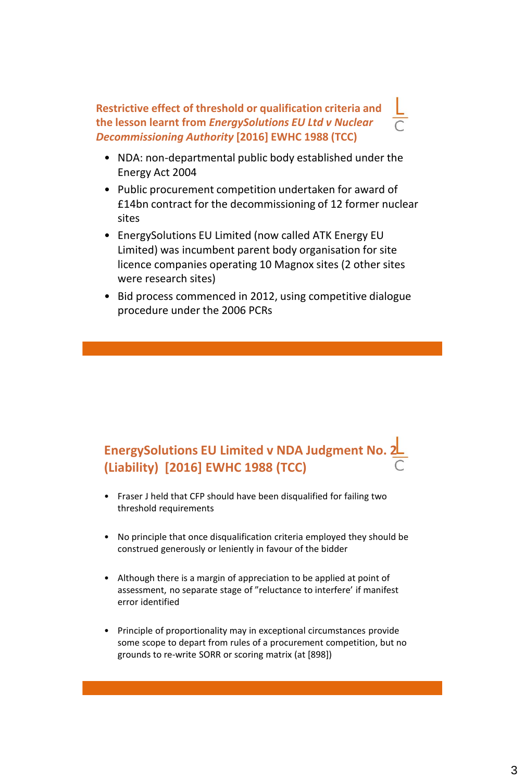**Restrictive effect of threshold or qualification criteria and the lesson learnt from** *EnergySolutions EU Ltd v Nuclear Decommissioning Authority* **[2016] EWHC 1988 (TCC)**

- NDA: non-departmental public body established under the Energy Act 2004
- Public procurement competition undertaken for award of £14bn contract for the decommissioning of 12 former nuclear sites
- EnergySolutions EU Limited (now called ATK Energy EU Limited) was incumbent parent body organisation for site licence companies operating 10 Magnox sites (2 other sites were research sites)
- Bid process commenced in 2012, using competitive dialogue procedure under the 2006 PCRs

# **EnergySolutions EU Limited v NDA Judgment No. 2 (Liability) [2016] EWHC 1988 (TCC)**

- Fraser J held that CFP should have been disqualified for failing two threshold requirements
- No principle that once disqualification criteria employed they should be construed generously or leniently in favour of the bidder
- Although there is a margin of appreciation to be applied at point of assessment, no separate stage of "reluctance to interfere' if manifest error identified
- Principle of proportionality may in exceptional circumstances provide some scope to depart from rules of a procurement competition, but no grounds to re-write SORR or scoring matrix (at [898])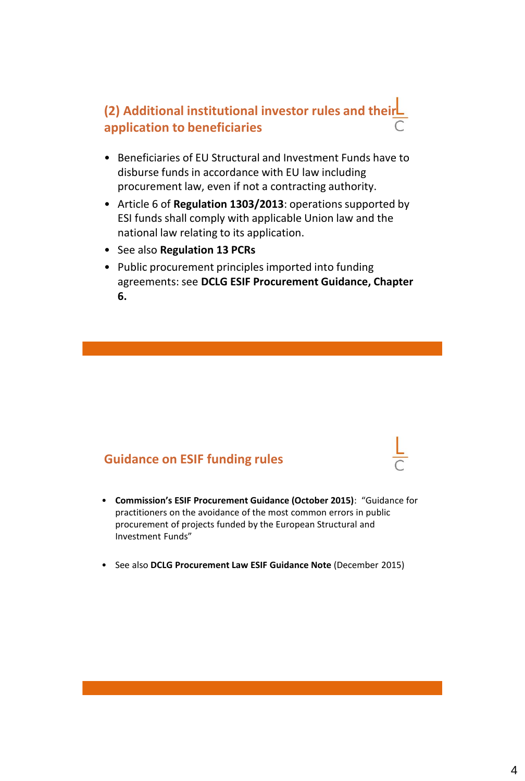## **(2) Additional institutional investor rules and their application to beneficiaries**

- Beneficiaries of EU Structural and Investment Funds have to disburse funds in accordance with EU law including procurement law, even if not a contracting authority.
- Article 6 of **Regulation 1303/2013**: operations supported by ESI funds shall comply with applicable Union law and the national law relating to its application.
- See also **Regulation 13 PCRs**
- Public procurement principles imported into funding agreements: see **DCLG ESIF Procurement Guidance, Chapter 6.**

## **Guidance on ESIF funding rules**

- **Commission's ESIF Procurement Guidance (October 2015)**: "Guidance for practitioners on the avoidance of the most common errors in public procurement of projects funded by the European Structural and Investment Funds"
- See also **DCLG Procurement Law ESIF Guidance Note** (December 2015)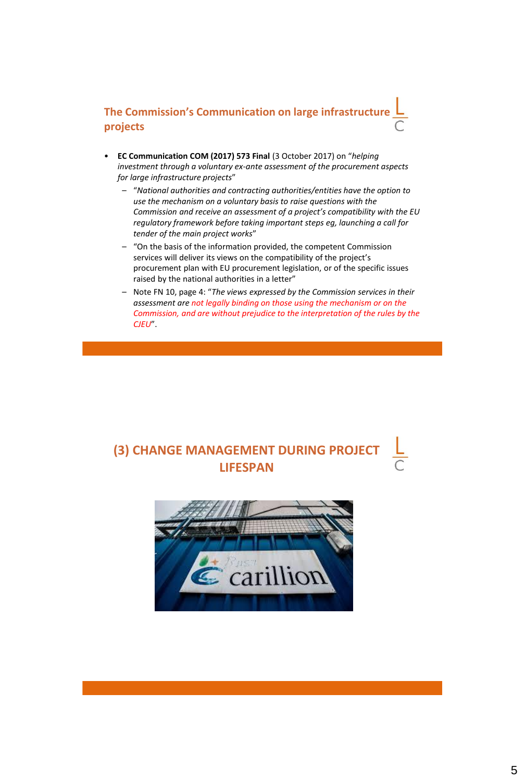

- **EC Communication COM (2017) 573 Final** (3 October 2017) on "*helping investment through a voluntary ex-ante assessment of the procurement aspects for large infrastructure projects*"
	- "*National authorities and contracting authorities/entities have the option to use the mechanism on a voluntary basis to raise questions with the Commission and receive an assessment of a project's compatibility with the EU regulatory framework before taking important steps eg, launching a call for tender of the main project works*"
	- "On the basis of the information provided, the competent Commission services will deliver its views on the compatibility of the project's procurement plan with EU procurement legislation, or of the specific issues raised by the national authorities in a letter"
	- Note FN 10, page 4: "*The views expressed by the Commission services in their assessment are not legally binding on those using the mechanism or on the Commission, and are without prejudice to the interpretation of the rules by the CJEU*".



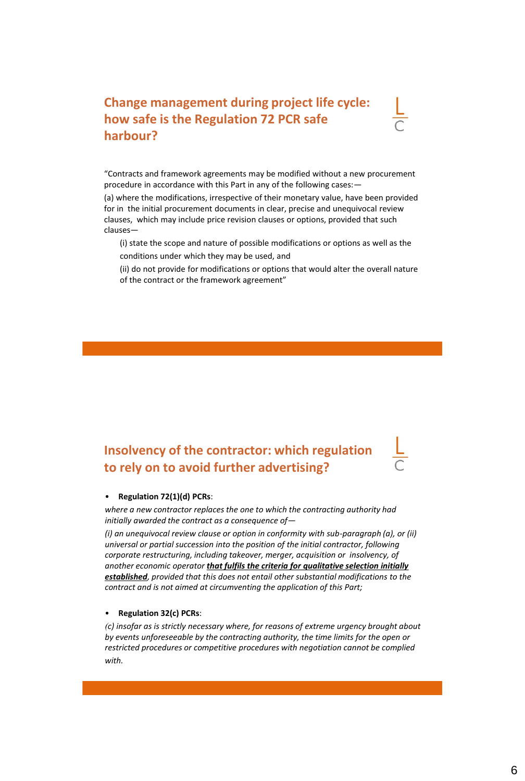## **Change management during project life cycle: how safe is the Regulation 72 PCR safe harbour?**



"Contracts and framework agreements may be modified without a new procurement procedure in accordance with this Part in any of the following cases:—

(a) where the modifications, irrespective of their monetary value, have been provided for in the initial procurement documents in clear, precise and unequivocal review clauses, which may include price revision clauses or options, provided that such clauses—

- (i) state the scope and nature of possible modifications or options as well as the conditions under which they may be used, and
- (ii) do not provide for modifications or options that would alter the overall nature of the contract or the framework agreement"

## **Insolvency of the contractor: which regulation to rely on to avoid further advertising?**

#### • **Regulation 72(1)(d) PCRs**:

*where a new contractor replaces the one to which the contracting authority had initially awarded the contract as a consequence of—*

*(i) an unequivocal review clause or option in conformity with sub-paragraph (a), or (ii) universal or partial succession into the position of the initial contractor, following corporate restructuring, including takeover, merger, acquisition or insolvency, of another economic operator that fulfils the criteria for qualitative selection initially established, provided that this does not entail other substantial modifications to the contract and is not aimed at circumventing the application of this Part;*

#### • **Regulation 32(c) PCRs**:

*(c) insofar as is strictly necessary where, for reasons of extreme urgency brought about by events unforeseeable by the contracting authority, the time limits for the open or restricted procedures or competitive procedures with negotiation cannot be complied with.*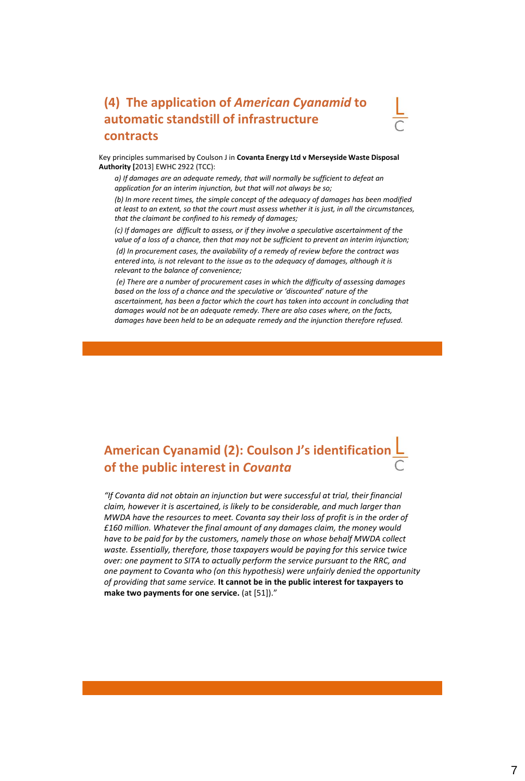## **(4) The application of** *American Cyanamid* **to automatic standstill of infrastructure contracts**

Key principles summarised by Coulson J in **Covanta Energy Ltd v Merseyside Waste Disposal Authority [**2013] EWHC 2922 (TCC):

*a) If damages are an adequate remedy, that will normally be sufficient to defeat an application for an interim injunction, but that will not always be so;* 

*(b) In more recent times, the simple concept of the adequacy of damages has been modified at least to an extent, so that the court must assess whether it is just, in all the circumstances, that the claimant be confined to his remedy of damages;*

*(c) If damages are difficult to assess, or if they involve a speculative ascertainment of the value of a loss of a chance, then that may not be sufficient to prevent an interim injunction; (d) In procurement cases, the availability of a remedy of review before the contract was entered into, is not relevant to the issue as to the adequacy of damages, although it is relevant to the balance of convenience;*

*(e) There are a number of procurement cases in which the difficulty of assessing damages based on the loss of a chance and the speculative or 'discounted' nature of the ascertainment, has been a factor which the court has taken into account in concluding that damages would not be an adequate remedy. There are also cases where, on the facts, damages have been held to be an adequate remedy and the injunction therefore refused.*

# **American Cyanamid (2): Coulson J's identification of the public interest in** *Covanta*

*"If Covanta did not obtain an injunction but were successful at trial, their financial claim, however it is ascertained, is likely to be considerable, and much larger than MWDA have the resources to meet. Covanta say their loss of profit is in the order of £160 million. Whatever the final amount of any damages claim, the money would have to be paid for by the customers, namely those on whose behalf MWDA collect waste. Essentially, therefore, those taxpayers would be paying for this service twice over: one payment to SITA to actually perform the service pursuant to the RRC, and one payment to Covanta who (on this hypothesis) were unfairly denied the opportunity of providing that same service.* **It cannot be in the public interest for taxpayers to make two payments for one service.** (at [51])."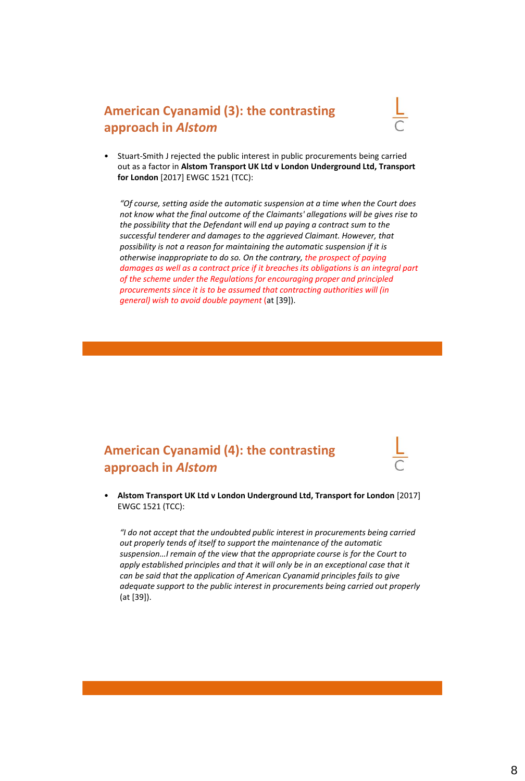## **American Cyanamid (3): the contrasting approach in** *Alstom*



• Stuart-Smith J rejected the public interest in public procurements being carried out as a factor in **Alstom Transport UK Ltd v London Underground Ltd, Transport for London** [2017] EWGC 1521 (TCC):

*"Of course, setting aside the automatic suspension at a time when the Court does not know what the final outcome of the Claimants' allegations will be gives rise to the possibility that the Defendant will end up paying a contract sum to the successful tenderer and damages to the aggrieved Claimant. However, that possibility is not a reason for maintaining the automatic suspension if it is otherwise inappropriate to do so. On the contrary, the prospect of paying damages as well as a contract price if it breaches its obligations is an integral part of the scheme under the Regulations for encouraging proper and principled procurements since it is to be assumed that contracting authorities will (in general) wish to avoid double payment* (at [39]).

## **American Cyanamid (4): the contrasting approach in** *Alstom*

• **Alstom Transport UK Ltd v London Underground Ltd, Transport for London** [2017] EWGC 1521 (TCC):

*"I do not accept that the undoubted public interest in procurements being carried out properly tends of itself to support the maintenance of the automatic suspension…I remain of the view that the appropriate course is for the Court to apply established principles and that it will only be in an exceptional case that it can be said that the application of American Cyanamid principles fails to give adequate support to the public interest in procurements being carried out properly* (at [39]).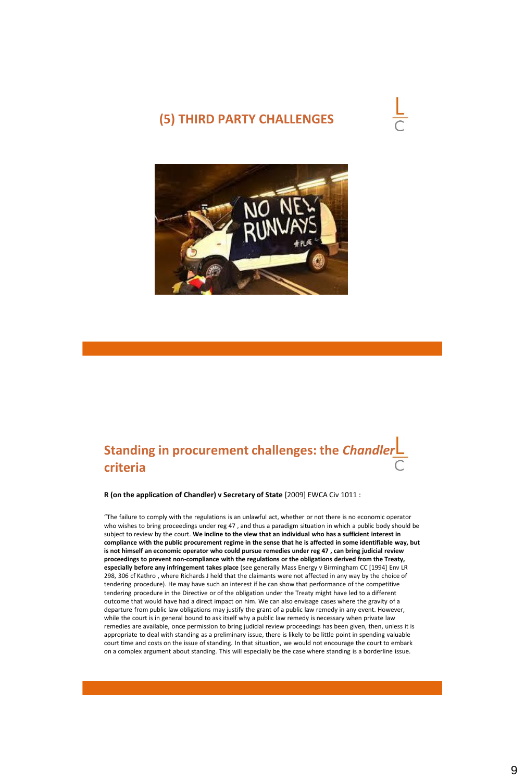### **(5) THIRD PARTY CHALLENGES**





## **Standing in procurement challenges: the** *Chandler* **criteria**

**R (on the application of Chandler) v Secretary of State** [2009] EWCA Civ 1011 :

"The failure to comply with the regulations is an unlawful act, whether or not there is no economic operator who wishes to bring proceedings under reg 47 , and thus a paradigm situation in which a public body should be subject to review by the court. **We incline to the view that an individual who has a sufficient interest in compliance with the public procurement regime in the sense that he is affected in some identifiable way, but is not himself an economic operator who could pursue remedies under reg 47 , can bring judicial review proceedings to prevent non-compliance with the regulations or the obligations derived from the Treaty, especially before any infringement takes place** (see generally Mass Energy v Birmingham CC [1994] Env LR 298, 306 cf Kathro , where Richards J held that the claimants were not affected in any way by the choice of tendering procedure). He may have such an interest if he can show that performance of the competitive tendering procedure in the Directive or of the obligation under the Treaty might have led to a different outcome that would have had a direct impact on him. We can also envisage cases where the gravity of a departure from public law obligations may justify the grant of a public law remedy in any event. However, while the court is in general bound to ask itself why a public law remedy is necessary when private law remedies are available, once permission to bring judicial review proceedings has been given, then, unless it is appropriate to deal with standing as a preliminary issue, there is likely to be little point in spending valuable court time and costs on the issue of standing. In that situation, we would not encourage the court to embark on a complex argument about standing. This will especially be the case where standing is a borderline issue.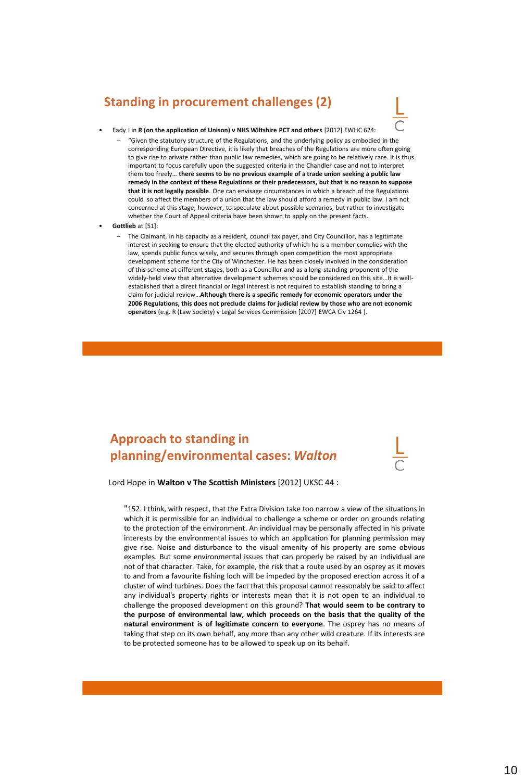### **Standing in procurement challenges (2)**

#### • Eady J in **R (on the application of Unison) v NHS Wiltshire PCT and others** [2012] EWHC 624:

- "Given the statutory structure of the Regulations, and the underlying policy as embodied in the corresponding European Directive, it is likely that breaches of the Regulations are more often going to give rise to private rather than public law remedies, which are going to be relatively rare. It is thus important to focus carefully upon the suggested criteria in the Chandler case and not to interpret them too freely… **there seems to be no previous example of a trade union seeking a public law remedy in the context of these Regulations or their predecessors, but that is no reason to suppose that it is not legally possible**. One can envisage circumstances in which a breach of the Regulations could so affect the members of a union that the law should afford a remedy in public law. I am not concerned at this stage, however, to speculate about possible scenarios, but rather to investigate whether the Court of Appeal criteria have been shown to apply on the present facts.
- **Gottlieb** at [51]:
	- The Claimant, in his capacity as a resident, council tax payer, and City Councillor, has a legitimate interest in seeking to ensure that the elected authority of which he is a member complies with the law, spends public funds wisely, and secures through open competition the most appropriate development scheme for the City of Winchester. He has been closely involved in the consideration of this scheme at different stages, both as a Councillor and as a long-standing proponent of the widely-held view that alternative development schemes should be considered on this site…It is wellestablished that a direct financial or legal interest is not required to establish standing to bring a claim for judicial review…**Although there is a specific remedy for economic operators under the 2006 Regulations, this does not preclude claims for judicial review by those who are not economic operators** (e.g. R (Law Society) v Legal Services Commission [2007] EWCA Civ 1264 ).

## **Approach to standing in planning/environmental cases:** *Walton*

#### Lord Hope in **Walton v The Scottish Ministers** [2012] UKSC 44 :

"152. I think, with respect, that the Extra Division take too narrow a view of the situations in which it is permissible for an individual to challenge a scheme or order on grounds relating to the protection of the environment. An individual may be personally affected in his private interests by the environmental issues to which an application for planning permission may give rise. Noise and disturbance to the visual amenity of his property are some obvious examples. But some environmental issues that can properly be raised by an individual are not of that character. Take, for example, the risk that a route used by an osprey as it moves to and from a favourite fishing loch will be impeded by the proposed erection across it of a cluster of wind turbines. Does the fact that this proposal cannot reasonably be said to affect any individual's property rights or interests mean that it is not open to an individual to challenge the proposed development on this ground? **That would seem to be contrary to the purpose of environmental law, which proceeds on the basis that the quality of the natural environment is of legitimate concern to everyone**. The osprey has no means of taking that step on its own behalf, any more than any other wild creature. If its interests are to be protected someone has to be allowed to speak up on its behalf.